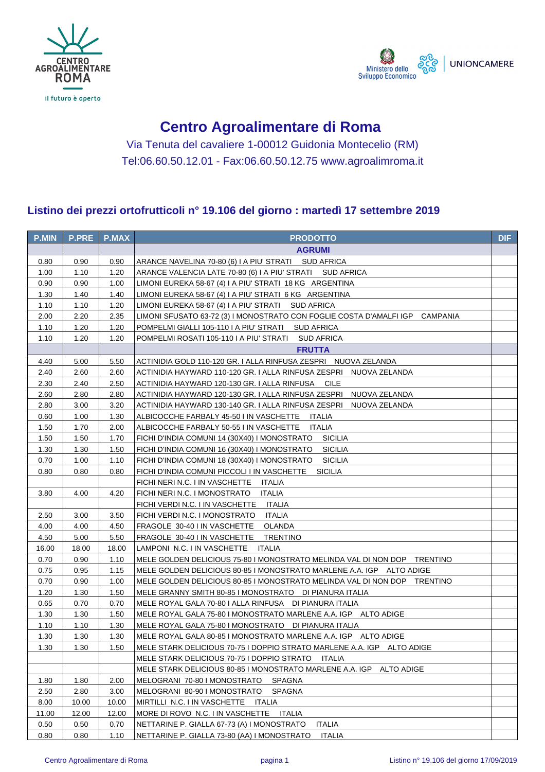



## **Centro Agroalimentare di Roma**

Via Tenuta del cavaliere 1-00012 Guidonia Montecelio (RM) Tel:06.60.50.12.01 - Fax:06.60.50.12.75 www.agroalimroma.it

## **Listino dei prezzi ortofrutticoli n° 19.106 del giorno : martedì 17 settembre 2019**

| <b>P.MIN</b> | <b>P.PRE</b> | <b>P.MAX</b> | <b>PRODOTTO</b>                                                              | <b>DIF</b> |
|--------------|--------------|--------------|------------------------------------------------------------------------------|------------|
|              |              |              | <b>AGRUMI</b>                                                                |            |
| 0.80         | 0.90         | 0.90         | ARANCE NAVELINA 70-80 (6) I A PIU' STRATI SUD AFRICA                         |            |
| 1.00         | 1.10         | 1.20         | ARANCE VALENCIA LATE 70-80 (6) I A PIU' STRATI     SUD AFRICA                |            |
| 0.90         | 0.90         | 1.00         | LIMONI EUREKA 58-67 (4) I A PIU' STRATI 18 KG ARGENTINA                      |            |
| 1.30         | 1.40         | 1.40         | LIMONI EUREKA 58-67 (4) I A PIU' STRATI 6 KG ARGENTINA                       |            |
| 1.10         | 1.10         | 1.20         | LIMONI EUREKA 58-67 (4) I A PIU' STRATI SUD AFRICA                           |            |
| 2.00         | 2.20         | 2.35         | LIMONI SFUSATO 63-72 (3) I MONOSTRATO CON FOGLIE COSTA D'AMALFI IGP CAMPANIA |            |
| 1.10         | 1.20         | 1.20         | POMPELMI GIALLI 105-110 I A PIU' STRATI SUD AFRICA                           |            |
| 1.10         | 1.20         | 1.20         | POMPELMI ROSATI 105-110 I A PIU' STRATI SUD AFRICA                           |            |
|              |              |              | <b>FRUTTA</b>                                                                |            |
| 4.40         | 5.00         | 5.50         | ACTINIDIA GOLD 110-120 GR. I ALLA RINFUSA ZESPRI NUOVA ZELANDA               |            |
| 2.40         | 2.60         | 2.60         | ACTINIDIA HAYWARD 110-120 GR. I ALLA RINFUSA ZESPRI NUOVA ZELANDA            |            |
| 2.30         | 2.40         | 2.50         | ACTINIDIA HAYWARD 120-130 GR. I ALLA RINFUSA CILE                            |            |
| 2.60         | 2.80         | 2.80         | ACTINIDIA HAYWARD 120-130 GR. I ALLA RINFUSA ZESPRI NUOVA ZELANDA            |            |
| 2.80         | 3.00         | 3.20         | ACTINIDIA HAYWARD 130-140 GR. I ALLA RINFUSA ZESPRI NUOVA ZELANDA            |            |
| 0.60         | 1.00         | 1.30         | ALBICOCCHE FARBALY 45-50 I IN VASCHETTE ITALIA                               |            |
| 1.50         | 1.70         | 2.00         | ALBICOCCHE FARBALY 50-55 I IN VASCHETTE ITALIA                               |            |
| 1.50         | 1.50         | 1.70         | FICHI D'INDIA COMUNI 14 (30X40) I MONOSTRATO<br>SICILIA                      |            |
| 1.30         | 1.30         | 1.50         | FICHI D'INDIA COMUNI 16 (30X40) I MONOSTRATO<br>SICILIA                      |            |
| 0.70         | 1.00         | 1.10         | FICHI D'INDIA COMUNI 18 (30X40) I MONOSTRATO<br>SICILIA                      |            |
| 0.80         | 0.80         | 0.80         | FICHI D'INDIA COMUNI PICCOLI I IN VASCHETTE<br><b>SICILIA</b>                |            |
|              |              |              | FICHI NERI N.C. I IN VASCHETTE<br><b>ITALIA</b>                              |            |
| 3.80         | 4.00         | 4.20         | FICHI NERI N.C. I MONOSTRATO<br><b>ITALIA</b>                                |            |
|              |              |              | FICHI VERDI N.C. I IN VASCHETTE<br>ITALIA                                    |            |
| 2.50         | 3.00         | 3.50         | FICHI VERDI N.C. I MONOSTRATO<br><b>ITALIA</b>                               |            |
| 4.00         | 4.00         | 4.50         | FRAGOLE 30-40 I IN VASCHETTE<br>OLANDA                                       |            |
| 4.50         | 5.00         | 5.50         | FRAGOLE 30-40 I IN VASCHETTE<br>TRENTINO                                     |            |
| 16.00        | 18.00        | 18.00        | LAMPONI N.C. I IN VASCHETTE ITALIA                                           |            |
| 0.70         | 0.90         | 1.10         | MELE GOLDEN DELICIOUS 75-80 I MONOSTRATO MELINDA VAL DI NON DOP TRENTINO     |            |
| 0.75         | 0.95         | 1.15         | MELE GOLDEN DELICIOUS 80-85 I MONOSTRATO MARLENE A.A. IGP ALTO ADIGE         |            |
| 0.70         | 0.90         | 1.00         | MELE GOLDEN DELICIOUS 80-85 I MONOSTRATO MELINDA VAL DI NON DOP TRENTINO     |            |
| 1.20         | 1.30         | 1.50         | MELE GRANNY SMITH 80-85 I MONOSTRATO DI PIANURA ITALIA                       |            |
| 0.65         | 0.70         | 0.70         | MELE ROYAL GALA 70-80 I ALLA RINFUSA DI PIANURA ITALIA                       |            |
| 1.30         | 1.30         | 1.50         | MELE ROYAL GALA 75-80 I MONOSTRATO MARLENE A.A. IGP ALTO ADIGE               |            |
| 1.10         | 1.10         | 1.30         | MELE ROYAL GALA 75-80 I MONOSTRATO DI PIANURA ITALIA                         |            |
| 1.30         | 1.30         | 1.30         | MELE ROYAL GALA 80-85 I MONOSTRATO MARLENE A.A. IGP ALTO ADIGE               |            |
| 1.30         | 1.30         | 1.50         | MELE STARK DELICIOUS 70-75 I DOPPIO STRATO MARLENE A.A. IGP    ALTO ADIGE    |            |
|              |              |              | MELE STARK DELICIOUS 70-75 I DOPPIO STRATO<br>ITALIA                         |            |
|              |              |              | MELE STARK DELICIOUS 80-85 I MONOSTRATO MARLENE A.A. IGP ALTO ADIGE          |            |
| 1.80         | 1.80         | 2.00         | MELOGRANI 70-80 I MONOSTRATO<br><b>SPAGNA</b>                                |            |
| 2.50         | 2.80         | 3.00         | MELOGRANI 80-90 I MONOSTRATO<br><b>SPAGNA</b>                                |            |
| 8.00         | 10.00        | 10.00        | MIRTILLI N.C. I IN VASCHETTE<br><b>ITALIA</b>                                |            |
| 11.00        | 12.00        | 12.00        | MORE DI ROVO N.C. I IN VASCHETTE<br>ITALIA                                   |            |
| 0.50         | 0.50         | 0.70         | NETTARINE P. GIALLA 67-73 (A) I MONOSTRATO<br><b>ITALIA</b>                  |            |
| 0.80         | 0.80         | 1.10         | NETTARINE P. GIALLA 73-80 (AA) I MONOSTRATO<br>ITALIA                        |            |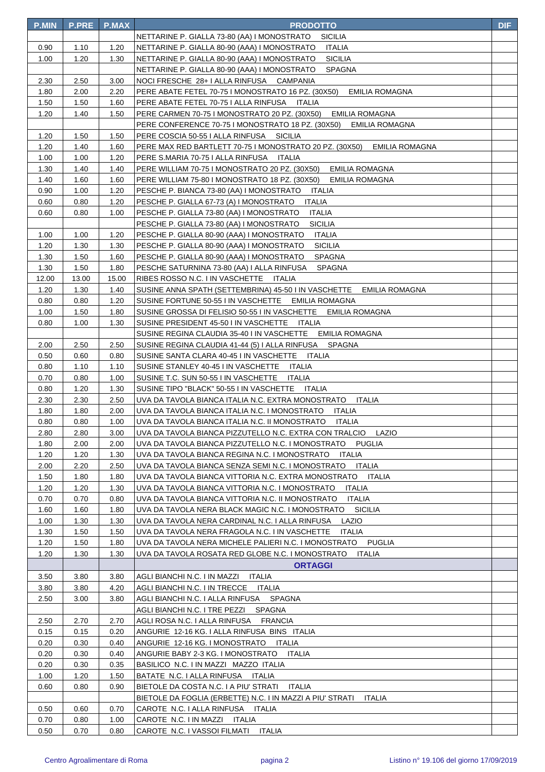| <b>P.MIN</b> | <b>P.PRE</b> | <b>P.MAX</b> | <b>PRODOTTO</b>                                                            | <b>DIF</b> |
|--------------|--------------|--------------|----------------------------------------------------------------------------|------------|
|              |              |              | NETTARINE P. GIALLA 73-80 (AA) I MONOSTRATO<br>SICILIA                     |            |
| 0.90         | 1.10         | 1.20         | NETTARINE P. GIALLA 80-90 (AAA) I MONOSTRATO<br>ITALIA                     |            |
| 1.00         | 1.20         | 1.30         | NETTARINE P. GIALLA 80-90 (AAA) I MONOSTRATO<br>SICILIA                    |            |
|              |              |              | NETTARINE P. GIALLA 80-90 (AAA) I MONOSTRATO<br>SPAGNA                     |            |
| 2.30         | 2.50         | 3.00         | NOCI FRESCHE 28+ I ALLA RINFUSA CAMPANIA                                   |            |
| 1.80         | 2.00         | 2.20         | PERE ABATE FETEL 70-75 I MONOSTRATO 16 PZ. (30X50) EMILIA ROMAGNA          |            |
| 1.50         | 1.50         | 1.60         | PERE ABATE FETEL 70-75   ALLA RINFUSA ITALIA                               |            |
| 1.20         | 1.40         | 1.50         | PERE CARMEN 70-75 I MONOSTRATO 20 PZ. (30X50)<br>EMILIA ROMAGNA            |            |
|              |              |              | PERE CONFERENCE 70-75 I MONOSTRATO 18 PZ. (30X50) EMILIA ROMAGNA           |            |
| 1.20         | 1.50         | 1.50         | PERE COSCIA 50-55   ALLA RINFUSA SICILIA                                   |            |
| 1.20         | 1.40         | 1.60         | PERE MAX RED BARTLETT 70-75 I MONOSTRATO 20 PZ. (30X50) EMILIA ROMAGNA     |            |
| 1.00         | 1.00         | 1.20         | PERE S.MARIA 70-75   ALLA RINFUSA   ITALIA                                 |            |
| 1.30         | 1.40         | 1.40         | PERE WILLIAM 70-75 I MONOSTRATO 20 PZ. (30X50) EMILIA ROMAGNA              |            |
| 1.40         | 1.60         | 1.60         | PERE WILLIAM 75-80 I MONOSTRATO 18 PZ. (30X50) EMILIA ROMAGNA              |            |
| 0.90         | 1.00         | 1.20         | PESCHE P. BIANCA 73-80 (AA) I MONOSTRATO ITALIA                            |            |
| 0.60         | 0.80         | 1.20         | PESCHE P. GIALLA 67-73 (A) I MONOSTRATO<br>ITALIA                          |            |
| 0.60         | 0.80         | 1.00         | PESCHE P. GIALLA 73-80 (AA) I MONOSTRATO<br>ITALIA                         |            |
|              |              |              | PESCHE P. GIALLA 73-80 (AA) I MONOSTRATO<br><b>SICILIA</b>                 |            |
| 1.00         | 1.00         | 1.20         | PESCHE P. GIALLA 80-90 (AAA) I MONOSTRATO<br><b>ITALIA</b>                 |            |
| 1.20         | 1.30         | 1.30         | PESCHE P. GIALLA 80-90 (AAA) I MONOSTRATO<br><b>SICILIA</b>                |            |
| 1.30         | 1.50         | 1.60         | PESCHE P. GIALLA 80-90 (AAA) I MONOSTRATO<br>SPAGNA                        |            |
| 1.30         | 1.50         | 1.80         | PESCHE SATURNINA 73-80 (AA) I ALLA RINFUSA SPAGNA                          |            |
| 12.00        | 13.00        | 15.00        | RIBES ROSSO N.C. I IN VASCHETTE ITALIA                                     |            |
| 1.20         | 1.30         | 1.40         | SUSINE ANNA SPATH (SETTEMBRINA) 45-50 I IN VASCHETTE EMILIA ROMAGNA        |            |
| 0.80         | 0.80         | 1.20         | SUSINE FORTUNE 50-55 I IN VASCHETTE EMILIA ROMAGNA                         |            |
| 1.00         | 1.50         | 1.80         | SUSINE GROSSA DI FELISIO 50-55 I IN VASCHETTE EMILIA ROMAGNA               |            |
| 0.80         | 1.00         | 1.30         | SUSINE PRESIDENT 45-50 I IN VASCHETTE ITALIA                               |            |
|              |              |              | SUSINE REGINA CLAUDIA 35-40 I IN VASCHETTE EMILIA ROMAGNA                  |            |
| 2.00         | 2.50         | 2.50         | SUSINE REGINA CLAUDIA 41-44 (5) I ALLA RINFUSA SPAGNA                      |            |
| 0.50         | 0.60         | 0.80         | SUSINE SANTA CLARA 40-45 I IN VASCHETTE ITALIA                             |            |
| 0.80         | 1.10         | 1.10         | SUSINE STANLEY 40-45 I IN VASCHETTE ITALIA                                 |            |
| 0.70         | 0.80         | 1.00         | SUSINE T.C. SUN 50-55 I IN VASCHETTE<br><b>ITALIA</b>                      |            |
| 0.80         | 1.20         | 1.30         | SUSINE TIPO "BLACK" 50-55 I IN VASCHETTE ITALIA                            |            |
| 2.30         | 2.30         | 2.50         | UVA DA TAVOLA BIANCA ITALIA N.C. EXTRA MONOSTRATO ITALIA                   |            |
| 1.80         | 1.80         | 2.00         | UVA DA TAVOLA BIANCA ITALIA N.C. I MONOSTRATO<br>ITALIA                    |            |
| 0.80         | 0.80         | 1.00         | UVA DA TAVOLA BIANCA ITALIA N.C. II MONOSTRATO<br>ITALIA                   |            |
| 2.80         | 2.80         | 3.00         | UVA DA TAVOLA BIANCA PIZZUTELLO N.C. EXTRA CON TRALCIO<br>LAZIO            |            |
| 1.80         | 2.00         | 2.00         | UVA DA TAVOLA BIANCA PIZZUTELLO N.C. I MONOSTRATO<br>PUGLIA                |            |
| 1.20         | 1.20         | 1.30         | UVA DA TAVOLA BIANCA REGINA N.C. I MONOSTRATO ITALIA                       |            |
| 2.00         | 2.20         | 2.50         | UVA DA TAVOLA BIANCA SENZA SEMI N.C. I MONOSTRATO<br>ITALIA                |            |
| 1.50         | 1.80         | 1.80         | UVA DA TAVOLA BIANCA VITTORIA N.C. EXTRA MONOSTRATO<br>ITALIA              |            |
| 1.20         | 1.20         | 1.30         | UVA DA TAVOLA BIANCA VITTORIA N.C. I MONOSTRATO<br><b>ITALIA</b>           |            |
| 0.70         | 0.70         | 0.80         | UVA DA TAVOLA BIANCA VITTORIA N.C. II MONOSTRATO<br><b>ITALIA</b>          |            |
| 1.60         | 1.60         | 1.80         | UVA DA TAVOLA NERA BLACK MAGIC N.C. I MONOSTRATO<br><b>SICILIA</b>         |            |
| 1.00         | 1.30         | 1.30         | UVA DA TAVOLA NERA CARDINAL N.C. I ALLA RINFUSA<br>LAZIO                   |            |
| 1.30         | 1.50         | 1.50         | UVA DA TAVOLA NERA FRAGOLA N.C. I IN VASCHETTE<br><b>ITALIA</b>            |            |
| 1.20         | 1.50         | 1.80         | UVA DA TAVOLA NERA MICHELE PALIERI N.C. I MONOSTRATO PUGLIA                |            |
| 1.20         | 1.30         | 1.30         | UVA DA TAVOLA ROSATA RED GLOBE N.C. I MONOSTRATO<br>ITALIA                 |            |
|              |              |              | <b>ORTAGGI</b>                                                             |            |
| 3.50         | 3.80         | 3.80         | AGLI BIANCHI N.C. I IN MAZZI<br>ITALIA                                     |            |
| 3.80         | 3.80         | 4.20         | AGLI BIANCHI N.C. I IN TRECCE ITALIA                                       |            |
| 2.50         | 3.00         | 3.80         | SPAGNA<br>AGLI BIANCHI N.C. I ALLA RINFUSA                                 |            |
|              |              |              | AGLI BIANCHI N.C. I TRE PEZZI<br>SPAGNA                                    |            |
| 2.50         | 2.70         | 2.70         | AGLI ROSA N.C. I ALLA RINFUSA FRANCIA                                      |            |
| 0.15         | 0.15         | 0.20         | ANGURIE 12-16 KG. I ALLA RINFUSA BINS ITALIA                               |            |
| 0.20         | 0.30         | 0.40         | ANGURIE 12-16 KG. I MONOSTRATO<br>ITALIA                                   |            |
| 0.20         | 0.30         | 0.40         | ANGURIE BABY 2-3 KG. I MONOSTRATO<br>ITALIA                                |            |
| 0.20         | 0.30         | 0.35         | BASILICO N.C. I IN MAZZI MAZZO ITALIA                                      |            |
| 1.00         | 1.20         | 1.50         | BATATE N.C. I ALLA RINFUSA ITALIA                                          |            |
| 0.60         | 0.80         | 0.90         | BIETOLE DA COSTA N.C. I A PIU' STRATI<br>ITALIA                            |            |
|              |              |              | BIETOLE DA FOGLIA (ERBETTE) N.C. I IN MAZZI A PIU' STRATI<br><b>ITALIA</b> |            |
| 0.50         | 0.60         | 0.70         | CAROTE N.C. I ALLA RINFUSA ITALIA                                          |            |
| 0.70         | 0.80         | 1.00         | CAROTE N.C. I IN MAZZI ITALIA                                              |            |
| 0.50         | 0.70         | 0.80         | CAROTE N.C. I VASSOI FILMATI ITALIA                                        |            |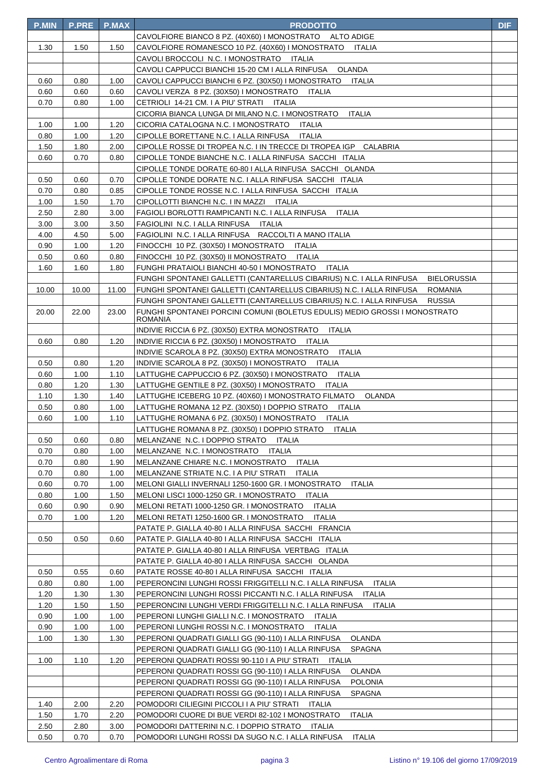| <b>P.MIN</b> | <b>P.PRE</b> | <b>P.MAX</b> | <b>PRODOTTO</b>                                                                                                                                                                      | <b>DIF</b> |
|--------------|--------------|--------------|--------------------------------------------------------------------------------------------------------------------------------------------------------------------------------------|------------|
|              |              |              | CAVOLFIORE BIANCO 8 PZ. (40X60) I MONOSTRATO<br>ALTO ADIGE                                                                                                                           |            |
| 1.30         | 1.50         | 1.50         | CAVOLFIORE ROMANESCO 10 PZ. (40X60) I MONOSTRATO<br>ITALIA                                                                                                                           |            |
|              |              |              | CAVOLI BROCCOLI N.C. I MONOSTRATO<br>ITALIA                                                                                                                                          |            |
|              |              |              | CAVOLI CAPPUCCI BIANCHI 15-20 CM I ALLA RINFUSA<br><b>OLANDA</b>                                                                                                                     |            |
| 0.60         | 0.80         | 1.00         | CAVOLI CAPPUCCI BIANCHI 6 PZ. (30X50) I MONOSTRATO<br><b>ITALIA</b>                                                                                                                  |            |
| 0.60         | 0.60         | 0.60         | CAVOLI VERZA 8 PZ. (30X50) I MONOSTRATO<br>ITALIA                                                                                                                                    |            |
| 0.70         | 0.80         | 1.00         | CETRIOLI 14-21 CM. I A PIU' STRATI ITALIA                                                                                                                                            |            |
|              |              |              | CICORIA BIANCA LUNGA DI MILANO N.C. I MONOSTRATO<br><b>ITALIA</b>                                                                                                                    |            |
| 1.00         | 1.00         | 1.20         | CICORIA CATALOGNA N.C. I MONOSTRATO<br>ITALIA                                                                                                                                        |            |
| 0.80         | 1.00         | 1.20         | CIPOLLE BORETTANE N.C. I ALLA RINFUSA<br>ITALIA                                                                                                                                      |            |
| 1.50         | 1.80         | 2.00         | CIPOLLE ROSSE DI TROPEA N.C. I IN TRECCE DI TROPEA IGP CALABRIA                                                                                                                      |            |
| 0.60         | 0.70         | 0.80         | CIPOLLE TONDE BIANCHE N.C. I ALLA RINFUSA SACCHI ITALIA                                                                                                                              |            |
|              |              |              | CIPOLLE TONDE DORATE 60-80   ALLA RINFUSA SACCHI OLANDA                                                                                                                              |            |
| 0.50         | 0.60         | 0.70         | CIPOLLE TONDE DORATE N.C. I ALLA RINFUSA SACCHI ITALIA                                                                                                                               |            |
| 0.70         | 0.80         | 0.85         | CIPOLLE TONDE ROSSE N.C. I ALLA RINFUSA SACCHI ITALIA                                                                                                                                |            |
| 1.00         | 1.50         | 1.70         | CIPOLLOTTI BIANCHI N.C. I IN MAZZI ITALIA                                                                                                                                            |            |
| 2.50         | 2.80         | 3.00         | FAGIOLI BORLOTTI RAMPICANTI N.C. I ALLA RINFUSA<br>ITALIA                                                                                                                            |            |
| 3.00         | 3.00         | 3.50         | FAGIOLINI N.C. I ALLA RINFUSA ITALIA                                                                                                                                                 |            |
| 4.00         | 4.50         | 5.00         | FAGIOLINI N.C. I ALLA RINFUSA RACCOLTI A MANO ITALIA                                                                                                                                 |            |
| 0.90         | 1.00         | 1.20         | FINOCCHI 10 PZ. (30X50) I MONOSTRATO<br><b>ITALIA</b>                                                                                                                                |            |
| 0.50         | 0.60         | 0.80         | FINOCCHI 10 PZ. (30X50) II MONOSTRATO<br>ITALIA                                                                                                                                      |            |
| 1.60         | 1.60         | 1.80         | FUNGHI PRATAIOLI BIANCHI 40-50 I MONOSTRATO<br><b>ITALIA</b>                                                                                                                         |            |
|              | 10.00        | 11.00        | FUNGHI SPONTANEI GALLETTI (CANTARELLUS CIBARIUS) N.C. I ALLA RINFUSA<br><b>BIELORUSSIA</b><br>FUNGHI SPONTANEI GALLETTI (CANTARELLUS CIBARIUS) N.C. I ALLA RINFUSA<br><b>ROMANIA</b> |            |
| 10.00        |              |              | FUNGHI SPONTANEI GALLETTI (CANTARELLUS CIBARIUS) N.C. I ALLA RINFUSA                                                                                                                 |            |
| 20.00        | 22.00        | 23.00        | <b>RUSSIA</b><br>FUNGHI SPONTANEI PORCINI COMUNI (BOLETUS EDULIS) MEDIO GROSSI I MONOSTRATO                                                                                          |            |
|              |              |              | <b>ROMANIA</b>                                                                                                                                                                       |            |
|              |              |              | INDIVIE RICCIA 6 PZ. (30X50) EXTRA MONOSTRATO<br><b>ITALIA</b>                                                                                                                       |            |
| 0.60         | 0.80         | 1.20         | INDIVIE RICCIA 6 PZ. (30X50) I MONOSTRATO<br>ITALIA                                                                                                                                  |            |
|              |              |              | INDIVIE SCAROLA 8 PZ. (30X50) EXTRA MONOSTRATO<br><b>ITALIA</b>                                                                                                                      |            |
| 0.50         | 0.80         | 1.20         | INDIVIE SCAROLA 8 PZ. (30X50) I MONOSTRATO<br>ITALIA                                                                                                                                 |            |
| 0.60         | 1.00         | 1.10         | LATTUGHE CAPPUCCIO 6 PZ. (30X50) I MONOSTRATO<br><b>ITALIA</b>                                                                                                                       |            |
| 0.80         | 1.20         | 1.30         | LATTUGHE GENTILE 8 PZ. (30X50) I MONOSTRATO<br><b>ITALIA</b>                                                                                                                         |            |
| 1.10         | 1.30         | 1.40         | LATTUGHE ICEBERG 10 PZ. (40X60) I MONOSTRATO FILMATO<br>OLANDA                                                                                                                       |            |
| 0.50         | 0.80         | 1.00         | LATTUGHE ROMANA 12 PZ. (30X50) I DOPPIO STRATO<br><b>ITALIA</b>                                                                                                                      |            |
| 0.60         | 1.00         | 1.10         | LATTUGHE ROMANA 6 PZ. (30X50) I MONOSTRATO ITALIA                                                                                                                                    |            |
|              |              |              | LATTUGHE ROMANA 8 PZ. (30X50) I DOPPIO STRATO ITALIA                                                                                                                                 |            |
| 0.50         | 0.60         | 0.80         | MELANZANE N.C. I DOPPIO STRATO ITALIA                                                                                                                                                |            |
| 0.70         | 0.80         | 1.00         | MELANZANE N.C. I MONOSTRATO ITALIA                                                                                                                                                   |            |
| 0.70         | 0.80         | 1.90         | MELANZANE CHIARE N.C. I MONOSTRATO ITALIA                                                                                                                                            |            |
| 0.70         | 0.80         | 1.00         | MELANZANE STRIATE N.C. I A PIU' STRATI<br><b>ITALIA</b>                                                                                                                              |            |
| 0.60         | 0.70         | 1.00         | MELONI GIALLI INVERNALI 1250-1600 GR. I MONOSTRATO<br><b>ITALIA</b>                                                                                                                  |            |
| 0.80         | 1.00         | 1.50         | MELONI LISCI 1000-1250 GR. I MONOSTRATO ITALIA                                                                                                                                       |            |
| 0.60         | 0.90         | 0.90         | MELONI RETATI 1000-1250 GR. I MONOSTRATO<br><b>ITALIA</b>                                                                                                                            |            |
| 0.70         | 1.00         | 1.20         | MELONI RETATI 1250-1600 GR. I MONOSTRATO<br>ITALIA                                                                                                                                   |            |
| 0.50         | 0.50         |              | PATATE P. GIALLA 40-80   ALLA RINFUSA SACCHI FRANCIA<br>PATATE P. GIALLA 40-80   ALLA RINFUSA SACCHI ITALIA                                                                          |            |
|              |              | 0.60         | PATATE P. GIALLA 40-80 I ALLA RINFUSA VERTBAG ITALIA                                                                                                                                 |            |
|              |              |              | PATATE P. GIALLA 40-80 I ALLA RINFUSA SACCHI OLANDA                                                                                                                                  |            |
| 0.50         | 0.55         | 0.60         | PATATE ROSSE 40-80   ALLA RINFUSA SACCHI ITALIA                                                                                                                                      |            |
| 0.80         | 0.80         | 1.00         | PEPERONCINI LUNGHI ROSSI FRIGGITELLI N.C. I ALLA RINFUSA<br>ITALIA                                                                                                                   |            |
| 1.20         | 1.30         | 1.30         | PEPERONCINI LUNGHI ROSSI PICCANTI N.C. I ALLA RINFUSA ITALIA                                                                                                                         |            |
| 1.20         | 1.50         | 1.50         | PEPERONCINI LUNGHI VERDI FRIGGITELLI N.C. I ALLA RINFUSA ITALIA                                                                                                                      |            |
| 0.90         | 1.00         | 1.00         | PEPERONI LUNGHI GIALLI N.C. I MONOSTRATO<br>ITALIA                                                                                                                                   |            |
| 0.90         | 1.00         | 1.00         | PEPERONI LUNGHI ROSSI N.C. I MONOSTRATO<br>ITALIA                                                                                                                                    |            |
| 1.00         | 1.30         | 1.30         | PEPERONI QUADRATI GIALLI GG (90-110) I ALLA RINFUSA<br>OLANDA                                                                                                                        |            |
|              |              |              | PEPERONI QUADRATI GIALLI GG (90-110) I ALLA RINFUSA<br><b>SPAGNA</b>                                                                                                                 |            |
| 1.00         | 1.10         | 1.20         | PEPERONI QUADRATI ROSSI 90-110 I A PIU' STRATI ITALIA                                                                                                                                |            |
|              |              |              | PEPERONI QUADRATI ROSSI GG (90-110) I ALLA RINFUSA<br>OLANDA                                                                                                                         |            |
|              |              |              | PEPERONI QUADRATI ROSSI GG (90-110) I ALLA RINFUSA<br><b>POLONIA</b>                                                                                                                 |            |
|              |              |              | PEPERONI QUADRATI ROSSI GG (90-110) I ALLA RINFUSA<br><b>SPAGNA</b>                                                                                                                  |            |
| 1.40         | 2.00         | 2.20         | POMODORI CILIEGINI PICCOLI I A PIU' STRATI ITALIA                                                                                                                                    |            |
| 1.50         | 1.70         | 2.20         | POMODORI CUORE DI BUE VERDI 82-102 I MONOSTRATO<br><b>ITALIA</b>                                                                                                                     |            |
| 2.50         | 2.80         | 3.00         | POMODORI DATTERINI N.C. I DOPPIO STRATO ITALIA                                                                                                                                       |            |
| 0.50         | 0.70         | 0.70         | POMODORI LUNGHI ROSSI DA SUGO N.C. I ALLA RINFUSA ITALIA                                                                                                                             |            |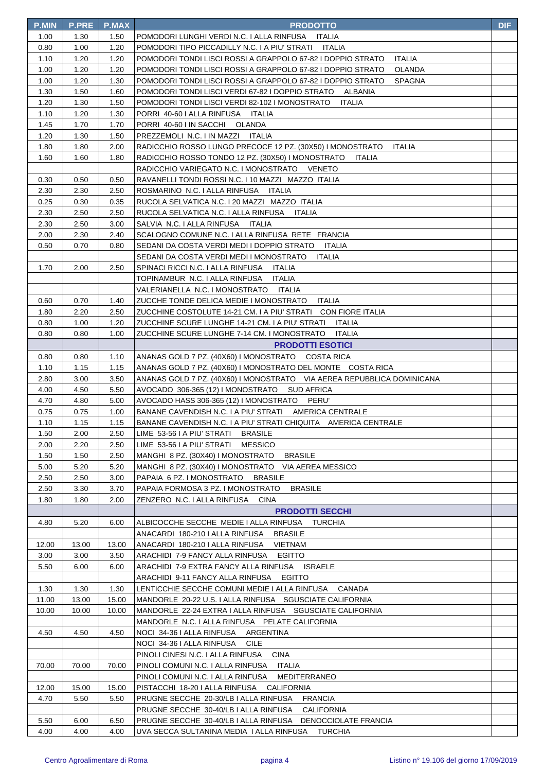| <b>P.MIN</b> | <b>P.PRE</b> | <b>P.MAX</b> | <b>PRODOTTO</b>                                                                             | <b>DIF</b> |
|--------------|--------------|--------------|---------------------------------------------------------------------------------------------|------------|
| 1.00         | 1.30         | 1.50         | POMODORI LUNGHI VERDI N.C. I ALLA RINFUSA ITALIA                                            |            |
| 0.80         | 1.00         | 1.20         | POMODORI TIPO PICCADILLY N.C. I A PIU' STRATI ITALIA                                        |            |
| 1.10         | 1.20         | 1.20         | POMODORI TONDI LISCI ROSSI A GRAPPOLO 67-82 I DOPPIO STRATO<br><b>ITALIA</b>                |            |
| 1.00         | 1.20         | 1.20         | POMODORI TONDI LISCI ROSSI A GRAPPOLO 67-82 I DOPPIO STRATO<br>OLANDA                       |            |
| 1.00         | 1.20         | 1.30         | POMODORI TONDI LISCI ROSSI A GRAPPOLO 67-82 I DOPPIO STRATO<br><b>SPAGNA</b>                |            |
| 1.30         | 1.50         | 1.60         | POMODORI TONDI LISCI VERDI 67-82 I DOPPIO STRATO ALBANIA                                    |            |
| 1.20         | 1.30         | 1.50         | POMODORI TONDI LISCI VERDI 82-102 I MONOSTRATO<br>ITALIA                                    |            |
| 1.10         | 1.20         | 1.30         | PORRI 40-60   ALLA RINFUSA   ITALIA                                                         |            |
| 1.45         | 1.70         | 1.70         | PORRI 40-60 I IN SACCHI OLANDA                                                              |            |
| 1.20         | 1.30         | 1.50         | PREZZEMOLI N.C. I IN MAZZI ITALIA                                                           |            |
| 1.80         | 1.80         | 2.00         | RADICCHIO ROSSO LUNGO PRECOCE 12 PZ. (30X50) I MONOSTRATO<br><b>ITALIA</b>                  |            |
| 1.60         | 1.60         | 1.80         | RADICCHIO ROSSO TONDO 12 PZ. (30X50) I MONOSTRATO<br>ITALIA                                 |            |
|              |              |              | RADICCHIO VARIEGATO N.C. I MONOSTRATO     VENETO                                            |            |
| 0.30         | 0.50         | 0.50         | RAVANELLI TONDI ROSSI N.C. I 10 MAZZI MAZZO ITALIA                                          |            |
| 2.30         | 2.30         | 2.50         | ROSMARINO N.C. I ALLA RINFUSA ITALIA                                                        |            |
| 0.25         | 0.30         | 0.35         | RUCOLA SELVATICA N.C. I 20 MAZZI MAZZO ITALIA                                               |            |
| 2.30         | 2.50         | 2.50         | RUCOLA SELVATICA N.C. I ALLA RINFUSA ITALIA                                                 |            |
| 2.30         | 2.50         | 3.00         | SALVIA N.C. I ALLA RINFUSA ITALIA                                                           |            |
| 2.00         | 2.30         | 2.40         | SCALOGNO COMUNE N.C. I ALLA RINFUSA RETE FRANCIA                                            |            |
| 0.50         | 0.70         | 0.80         | SEDANI DA COSTA VERDI MEDI I DOPPIO STRATO ITALIA                                           |            |
|              |              |              | SEDANI DA COSTA VERDI MEDI I MONOSTRATO ITALIA                                              |            |
| 1.70         | 2.00         | 2.50         | SPINACI RICCI N.C. I ALLA RINFUSA ITALIA                                                    |            |
|              |              |              | TOPINAMBUR N.C. I ALLA RINFUSA ITALIA                                                       |            |
|              |              |              | VALERIANELLA N.C. I MONOSTRATO<br>ITALIA                                                    |            |
| 0.60         | 0.70         | 1.40         | ZUCCHE TONDE DELICA MEDIE I MONOSTRATO<br>ITALIA                                            |            |
| 1.80         | 2.20         | 2.50         | ZUCCHINE COSTOLUTE 14-21 CM. I A PIU' STRATI CON FIORE ITALIA                               |            |
| 0.80         | 1.00         | 1.20         | ZUCCHINE SCURE LUNGHE 14-21 CM. I A PIU' STRATI<br>ITALIA                                   |            |
| 0.80         | 0.80         | 1.00         | ZUCCHINE SCURE LUNGHE 7-14 CM. I MONOSTRATO<br><b>ITALIA</b>                                |            |
|              |              |              | <b>PRODOTTI ESOTICI</b><br>ANANAS GOLD 7 PZ. (40X60) I MONOSTRATO COSTA RICA                |            |
| 0.80<br>1.10 | 0.80<br>1.15 | 1.10<br>1.15 | ANANAS GOLD 7 PZ. (40X60) I MONOSTRATO DEL MONTE COSTA RICA                                 |            |
| 2.80         | 3.00         | 3.50         | ANANAS GOLD 7 PZ. (40X60) I MONOSTRATO VIA AEREA REPUBBLICA DOMINICANA                      |            |
| 4.00         | 4.50         | 5.50         | AVOCADO 306-365 (12) I MONOSTRATO SUD AFRICA                                                |            |
| 4.70         | 4.80         | 5.00         | PERU'<br>AVOCADO HASS 306-365 (12) I MONOSTRATO                                             |            |
| 0.75         | 0.75         | 1.00         | BANANE CAVENDISH N.C. I A PIU' STRATI AMERICA CENTRALE                                      |            |
| 1.10         | 1.15         | 1.15         | BANANE CAVENDISH N.C. I A PIU' STRATI CHIQUITA AMERICA CENTRALE                             |            |
| 1.50         | 2.00         | 2.50         | LIME 53-56 I A PIU' STRATI<br>BRASILE                                                       |            |
| 2.00         | 2.20         | 2.50         | LIME 53-56 I A PIU' STRATI<br><b>MESSICO</b>                                                |            |
| 1.50         | 1.50         | 2.50         | MANGHI 8 PZ. (30X40) I MONOSTRATO<br><b>BRASILE</b>                                         |            |
| 5.00         | 5.20         | 5.20         | MANGHI 8 PZ. (30X40) I MONOSTRATO<br>VIA AEREA MESSICO                                      |            |
| 2.50         | 2.50         | 3.00         | PAPAIA 6 PZ. I MONOSTRATO<br><b>BRASILE</b>                                                 |            |
| 2.50         | 3.30         | 3.70         | PAPAIA FORMOSA 3 PZ. I MONOSTRATO<br><b>BRASILE</b>                                         |            |
| 1.80         | 1.80         | 2.00         | ZENZERO N.C. I ALLA RINFUSA<br><b>CINA</b>                                                  |            |
|              |              |              | <b>PRODOTTI SECCHI</b>                                                                      |            |
| 4.80         | 5.20         | 6.00         | ALBICOCCHE SECCHE MEDIE I ALLA RINFUSA TURCHIA                                              |            |
|              |              |              | ANACARDI 180-210 I ALLA RINFUSA<br><b>BRASILE</b>                                           |            |
| 12.00        | 13.00        | 13.00        | VIETNAM<br>ANACARDI 180-210 I ALLA RINFUSA                                                  |            |
| 3.00         | 3.00         | 3.50         | ARACHIDI 7-9 FANCY ALLA RINFUSA<br>EGITTO                                                   |            |
| 5.50         | 6.00         | 6.00         | ARACHIDI 7-9 EXTRA FANCY ALLA RINFUSA ISRAELE                                               |            |
|              |              |              | ARACHIDI 9-11 FANCY ALLA RINFUSA EGITTO                                                     |            |
| 1.30         | 1.30         | 1.30         | LENTICCHIE SECCHE COMUNI MEDIE I ALLA RINFUSA CANADA                                        |            |
| 11.00        | 13.00        | 15.00        | MANDORLE 20-22 U.S. I ALLA RINFUSA SGUSCIATE CALIFORNIA                                     |            |
| 10.00        | 10.00        | 10.00        | MANDORLE 22-24 EXTRA I ALLA RINFUSA SGUSCIATE CALIFORNIA                                    |            |
|              |              |              | MANDORLE N.C. I ALLA RINFUSA PELATE CALIFORNIA                                              |            |
| 4.50         | 4.50         | 4.50         | NOCI 34-36   ALLA RINFUSA ARGENTINA                                                         |            |
|              |              |              | NOCI 34-36   ALLA RINFUSA CILE                                                              |            |
|              |              |              | PINOLI CINESI N.C. I ALLA RINFUSA<br><b>CINA</b>                                            |            |
| 70.00        | 70.00        | 70.00        | PINOLI COMUNI N.C. I ALLA RINFUSA ITALIA                                                    |            |
| 12.00        | 15.00        | 15.00        | PINOLI COMUNI N.C. I ALLA RINFUSA MEDITERRANEO<br>PISTACCHI 18-20 I ALLA RINFUSA CALIFORNIA |            |
| 4.70         | 5.50         | 5.50         | PRUGNE SECCHE 20-30/LB I ALLA RINFUSA FRANCIA                                               |            |
|              |              |              | PRUGNE SECCHE 30-40/LB I ALLA RINFUSA<br><b>CALIFORNIA</b>                                  |            |
| 5.50         | 6.00         | 6.50         | PRUGNE SECCHE 30-40/LB I ALLA RINFUSA DENOCCIOLATE FRANCIA                                  |            |
| 4.00         | 4.00         | 4.00         | UVA SECCA SULTANINA MEDIA I ALLA RINFUSA TURCHIA                                            |            |